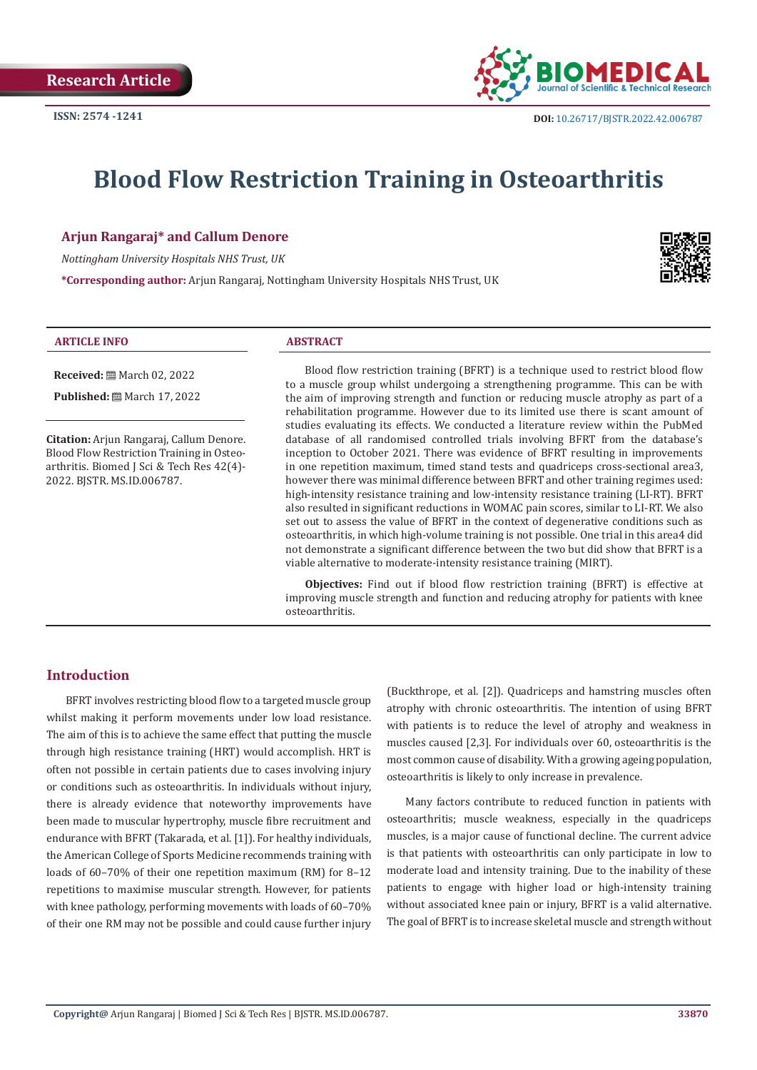

# **Blood Flow Restriction Training in Osteoarthritis**

# **Arjun Rangaraj\* and Callum Denore**

*Nottingham University Hospitals NHS Trust, UK*

**\*Corresponding author:** Arjun Rangaraj, Nottingham University Hospitals NHS Trust, UK



#### **ARTICLE INFO ABSTRACT**

**Published:** ■ March 17, 2022

**Received:** March 02, 2022

**Citation:** Arjun Rangaraj, Callum Denore. Blood Flow Restriction Training in Osteoarthritis. Biomed J Sci & Tech Res 42(4)-2022. BJSTR. MS.ID.006787.

Blood flow restriction training (BFRT) is a technique used to restrict blood flow to a muscle group whilst undergoing a strengthening programme. This can be with the aim of improving strength and function or reducing muscle atrophy as part of a rehabilitation programme. However due to its limited use there is scant amount of studies evaluating its effects. We conducted a literature review within the PubMed database of all randomised controlled trials involving BFRT from the database's inception to October 2021. There was evidence of BFRT resulting in improvements in one repetition maximum, timed stand tests and quadriceps cross-sectional area3, however there was minimal difference between BFRT and other training regimes used: high-intensity resistance training and low-intensity resistance training (LI-RT). BFRT also resulted in significant reductions in WOMAC pain scores, similar to LI-RT. We also set out to assess the value of BFRT in the context of degenerative conditions such as osteoarthritis, in which high-volume training is not possible. One trial in this area4 did not demonstrate a significant difference between the two but did show that BFRT is a viable alternative to moderate-intensity resistance training (MIRT).

**Objectives:** Find out if blood flow restriction training (BFRT) is effective at improving muscle strength and function and reducing atrophy for patients with knee osteoarthritis.

# **Introduction**

BFRT involves restricting blood flow to a targeted muscle group whilst making it perform movements under low load resistance. The aim of this is to achieve the same effect that putting the muscle through high resistance training (HRT) would accomplish. HRT is often not possible in certain patients due to cases involving injury or conditions such as osteoarthritis. In individuals without injury, there is already evidence that noteworthy improvements have been made to muscular hypertrophy, muscle fibre recruitment and endurance with BFRT (Takarada, et al. [1]). For healthy individuals, the American College of Sports Medicine recommends training with loads of 60–70% of their one repetition maximum (RM) for 8–12 repetitions to maximise muscular strength. However, for patients with knee pathology, performing movements with loads of 60–70% of their one RM may not be possible and could cause further injury

(Buckthrope, et al. [2]). Quadriceps and hamstring muscles often atrophy with chronic osteoarthritis. The intention of using BFRT with patients is to reduce the level of atrophy and weakness in muscles caused [2,3]. For individuals over 60, osteoarthritis is the most common cause of disability. With a growing ageing population, osteoarthritis is likely to only increase in prevalence.

Many factors contribute to reduced function in patients with osteoarthritis; muscle weakness, especially in the quadriceps muscles, is a major cause of functional decline. The current advice is that patients with osteoarthritis can only participate in low to moderate load and intensity training. Due to the inability of these patients to engage with higher load or high-intensity training without associated knee pain or injury, BFRT is a valid alternative. The goal of BFRT is to increase skeletal muscle and strength without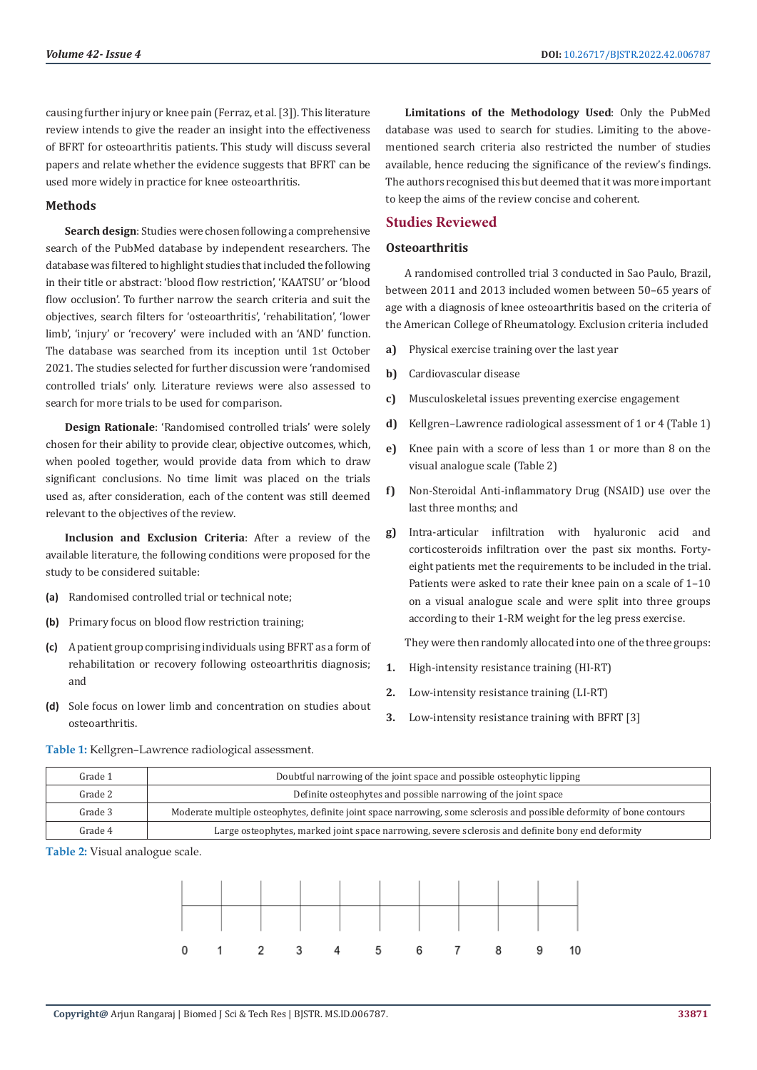causing further injury or knee pain (Ferraz, et al. [3]). This literature review intends to give the reader an insight into the effectiveness of BFRT for osteoarthritis patients. This study will discuss several papers and relate whether the evidence suggests that BFRT can be used more widely in practice for knee osteoarthritis.

### **Methods**

**Search design**: Studies were chosen following a comprehensive search of the PubMed database by independent researchers. The database was filtered to highlight studies that included the following in their title or abstract: 'blood flow restriction', 'KAATSU' or 'blood flow occlusion'. To further narrow the search criteria and suit the objectives, search filters for 'osteoarthritis', 'rehabilitation', 'lower limb', 'injury' or 'recovery' were included with an 'AND' function. The database was searched from its inception until 1st October 2021. The studies selected for further discussion were 'randomised controlled trials' only. Literature reviews were also assessed to search for more trials to be used for comparison.

**Design Rationale**: 'Randomised controlled trials' were solely chosen for their ability to provide clear, objective outcomes, which, when pooled together, would provide data from which to draw significant conclusions. No time limit was placed on the trials used as, after consideration, each of the content was still deemed relevant to the objectives of the review.

**Inclusion and Exclusion Criteria**: After a review of the available literature, the following conditions were proposed for the study to be considered suitable:

- **(a)** Randomised controlled trial or technical note;
- **(b)** Primary focus on blood flow restriction training;
- **(c)** A patient group comprising individuals using BFRT as a form of rehabilitation or recovery following osteoarthritis diagnosis; and
- **(d)** Sole focus on lower limb and concentration on studies about osteoarthritis.

**Limitations of the Methodology Used**: Only the PubMed database was used to search for studies. Limiting to the abovementioned search criteria also restricted the number of studies available, hence reducing the significance of the review's findings. The authors recognised this but deemed that it was more important to keep the aims of the review concise and coherent.

# **Studies Reviewed**

### **Osteoarthritis**

A randomised controlled trial 3 conducted in Sao Paulo, Brazil, between 2011 and 2013 included women between 50–65 years of age with a diagnosis of knee osteoarthritis based on the criteria of the American College of Rheumatology. Exclusion criteria included

- **a)** Physical exercise training over the last year
- **b)** Cardiovascular disease
- **c)** Musculoskeletal issues preventing exercise engagement
- **d)** Kellgren–Lawrence radiological assessment of 1 or 4 (Table 1)
- **e)** Knee pain with a score of less than 1 or more than 8 on the visual analogue scale (Table 2)
- **f)** Non-Steroidal Anti-inflammatory Drug (NSAID) use over the last three months; and
- **g)** Intra-articular infiltration with hyaluronic acid and corticosteroids infiltration over the past six months. Fortyeight patients met the requirements to be included in the trial. Patients were asked to rate their knee pain on a scale of 1–10 on a visual analogue scale and were split into three groups according to their 1-RM weight for the leg press exercise.

They were then randomly allocated into one of the three groups:

- **1.** High-intensity resistance training (HI-RT)
- **2.** Low-intensity resistance training (LI-RT)
- **3.** Low-intensity resistance training with BFRT [3]

#### **Table 1:** Kellgren–Lawrence radiological assessment.

| Grade 1 | Doubtful narrowing of the joint space and possible osteophytic lipping                                                |
|---------|-----------------------------------------------------------------------------------------------------------------------|
| Grade 2 | Definite osteophytes and possible narrowing of the joint space                                                        |
| Grade 3 | Moderate multiple osteophytes, definite joint space narrowing, some sclerosis and possible deformity of bone contours |
| Grade 4 | Large osteophytes, marked joint space narrowing, severe sclerosis and definite bony end deformity                     |

**Table 2:** Visual analogue scale.

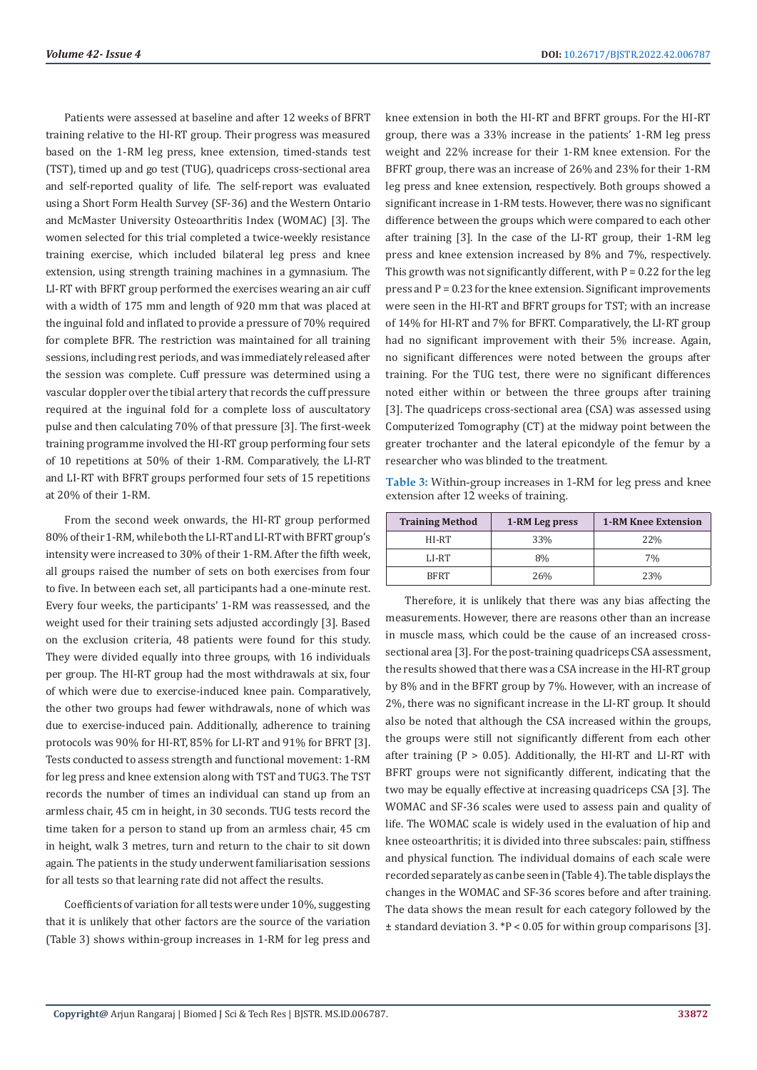Patients were assessed at baseline and after 12 weeks of BFRT training relative to the HI-RT group. Their progress was measured based on the 1-RM leg press, knee extension, timed-stands test (TST), timed up and go test (TUG), quadriceps cross-sectional area and self-reported quality of life. The self-report was evaluated using a Short Form Health Survey (SF-36) and the Western Ontario and McMaster University Osteoarthritis Index (WOMAC) [3]. The women selected for this trial completed a twice-weekly resistance training exercise, which included bilateral leg press and knee extension, using strength training machines in a gymnasium. The LI-RT with BFRT group performed the exercises wearing an air cuff with a width of 175 mm and length of 920 mm that was placed at the inguinal fold and inflated to provide a pressure of 70% required for complete BFR. The restriction was maintained for all training sessions, including rest periods, and was immediately released after the session was complete. Cuff pressure was determined using a vascular doppler over the tibial artery that records the cuff pressure required at the inguinal fold for a complete loss of auscultatory pulse and then calculating 70% of that pressure [3]. The first-week training programme involved the HI-RT group performing four sets of 10 repetitions at 50% of their 1-RM. Comparatively, the LI-RT and LI-RT with BFRT groups performed four sets of 15 repetitions at 20% of their 1-RM.

From the second week onwards, the HI-RT group performed 80% of their 1-RM, while both the LI-RT and LI-RT with BFRT group's intensity were increased to 30% of their 1-RM. After the fifth week, all groups raised the number of sets on both exercises from four to five. In between each set, all participants had a one-minute rest. Every four weeks, the participants' 1-RM was reassessed, and the weight used for their training sets adjusted accordingly [3]. Based on the exclusion criteria, 48 patients were found for this study. They were divided equally into three groups, with 16 individuals per group. The HI-RT group had the most withdrawals at six, four of which were due to exercise-induced knee pain. Comparatively, the other two groups had fewer withdrawals, none of which was due to exercise-induced pain. Additionally, adherence to training protocols was 90% for HI-RT, 85% for LI-RT and 91% for BFRT [3]. Tests conducted to assess strength and functional movement: 1-RM for leg press and knee extension along with TST and TUG3. The TST records the number of times an individual can stand up from an armless chair, 45 cm in height, in 30 seconds. TUG tests record the time taken for a person to stand up from an armless chair, 45 cm in height, walk 3 metres, turn and return to the chair to sit down again. The patients in the study underwent familiarisation sessions for all tests so that learning rate did not affect the results.

Coefficients of variation for all tests were under 10%, suggesting that it is unlikely that other factors are the source of the variation (Table 3) shows within-group increases in 1-RM for leg press and

knee extension in both the HI-RT and BFRT groups. For the HI-RT group, there was a 33% increase in the patients' 1-RM leg press weight and 22% increase for their 1-RM knee extension. For the BFRT group, there was an increase of 26% and 23% for their 1-RM leg press and knee extension, respectively. Both groups showed a significant increase in 1-RM tests. However, there was no significant difference between the groups which were compared to each other after training [3]. In the case of the LI-RT group, their 1-RM leg press and knee extension increased by 8% and 7%, respectively. This growth was not significantly different, with  $P = 0.22$  for the leg press and  $P = 0.23$  for the knee extension. Significant improvements were seen in the HI-RT and BFRT groups for TST; with an increase of 14% for HI-RT and 7% for BFRT. Comparatively, the LI-RT group had no significant improvement with their 5% increase. Again, no significant differences were noted between the groups after training. For the TUG test, there were no significant differences noted either within or between the three groups after training [3]. The quadriceps cross-sectional area (CSA) was assessed using Computerized Tomography (CT) at the midway point between the greater trochanter and the lateral epicondyle of the femur by a researcher who was blinded to the treatment.

**Table 3:** Within-group increases in 1-RM for leg press and knee extension after 12 weeks of training.

| <b>Training Method</b> | 1-RM Leg press | <b>1-RM Knee Extension</b> |
|------------------------|----------------|----------------------------|
| HI-RT                  | 33%            | 22%                        |
| LI-RT                  | 8%             | 7%                         |
| <b>BFRT</b>            | 26%            | 23%                        |

Therefore, it is unlikely that there was any bias affecting the measurements. However, there are reasons other than an increase in muscle mass, which could be the cause of an increased crosssectional area [3]. For the post-training quadriceps CSA assessment, the results showed that there was a CSA increase in the HI-RT group by 8% and in the BFRT group by 7%. However, with an increase of 2%, there was no significant increase in the LI-RT group. It should also be noted that although the CSA increased within the groups, the groups were still not significantly different from each other after training ( $P > 0.05$ ). Additionally, the HI-RT and LI-RT with BFRT groups were not significantly different, indicating that the two may be equally effective at increasing quadriceps CSA [3]. The WOMAC and SF-36 scales were used to assess pain and quality of life. The WOMAC scale is widely used in the evaluation of hip and knee osteoarthritis; it is divided into three subscales: pain, stiffness and physical function. The individual domains of each scale were recorded separately as can be seen in (Table 4). The table displays the changes in the WOMAC and SF-36 scores before and after training. The data shows the mean result for each category followed by the  $\pm$  standard deviation 3. \*P < 0.05 for within group comparisons [3].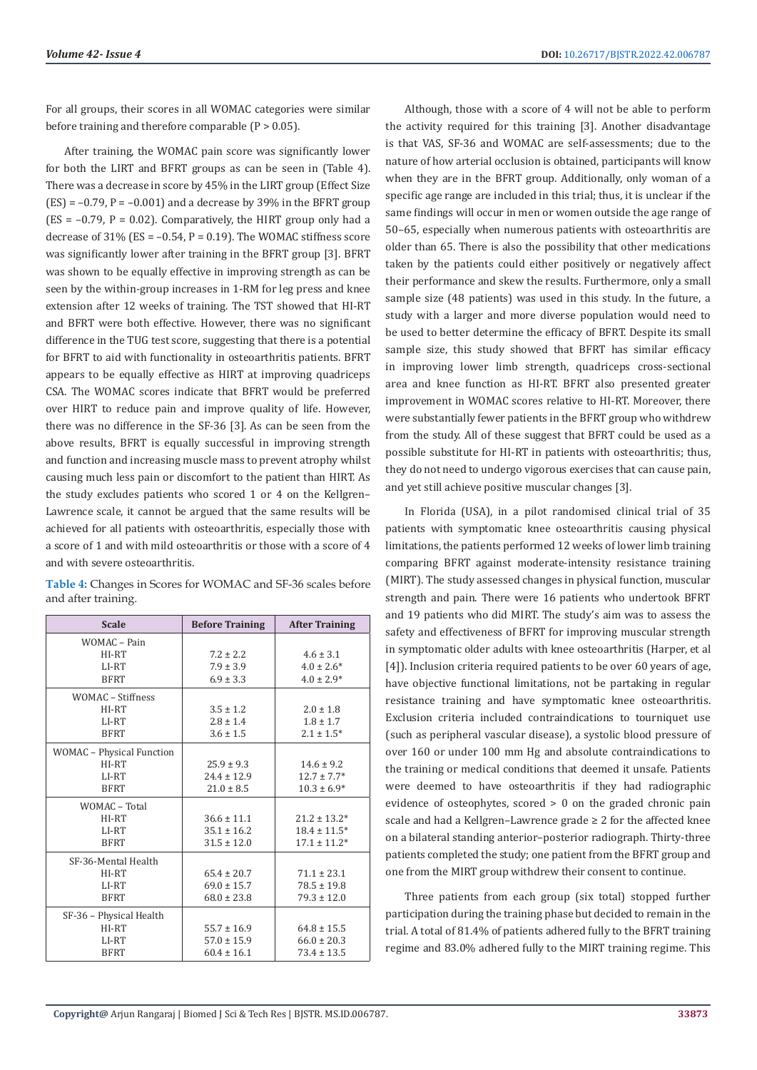For all groups, their scores in all WOMAC categories were similar before training and therefore comparable  $(P > 0.05)$ .

After training, the WOMAC pain score was significantly lower for both the LIRT and BFRT groups as can be seen in (Table 4). There was a decrease in score by 45% in the LIRT group (Effect Size  $(ES) = -0.79$ ,  $P = -0.001$  and a decrease by 39% in the BFRT group  $(ES = -0.79, P = 0.02)$ . Comparatively, the HIRT group only had a decrease of  $31\%$  (ES = -0.54, P = 0.19). The WOMAC stiffness score was significantly lower after training in the BFRT group [3]. BFRT was shown to be equally effective in improving strength as can be seen by the within-group increases in 1-RM for leg press and knee extension after 12 weeks of training. The TST showed that HI-RT and BFRT were both effective. However, there was no significant difference in the TUG test score, suggesting that there is a potential for BFRT to aid with functionality in osteoarthritis patients. BFRT appears to be equally effective as HIRT at improving quadriceps CSA. The WOMAC scores indicate that BFRT would be preferred over HIRT to reduce pain and improve quality of life. However, there was no difference in the SF-36 [3]. As can be seen from the above results, BFRT is equally successful in improving strength and function and increasing muscle mass to prevent atrophy whilst causing much less pain or discomfort to the patient than HIRT. As the study excludes patients who scored 1 or 4 on the Kellgren– Lawrence scale, it cannot be argued that the same results will be achieved for all patients with osteoarthritis, especially those with a score of 1 and with mild osteoarthritis or those with a score of 4 and with severe osteoarthritis.

|                     | Table 4: Changes in Scores for WOMAC and SF-36 scales before |
|---------------------|--------------------------------------------------------------|
| and after training. |                                                              |

| <b>Scale</b>              | <b>Before Training</b> | <b>After Training</b> |
|---------------------------|------------------------|-----------------------|
| WOMAC - Pain              |                        |                       |
| HI-RT                     | $7.2 \pm 2.2$          | $4.6 \pm 3.1$         |
| LI-RT                     | $7.9 \pm 3.9$          | $4.0 \pm 2.6^*$       |
| <b>BFRT</b>               | $6.9 \pm 3.3$          | $4.0 \pm 2.9*$        |
| <b>WOMAC</b> - Stiffness  |                        |                       |
| HI-RT                     | $3.5 \pm 1.2$          | $2.0 \pm 1.8$         |
| LI-RT                     | $2.8 \pm 1.4$          | $1.8 \pm 1.7$         |
| <b>BFRT</b>               | $3.6 \pm 1.5$          | $2.1 \pm 1.5^*$       |
| WOMAC - Physical Function |                        |                       |
| HI-RT                     | $25.9 \pm 9.3$         | $14.6 \pm 9.2$        |
| LI-RT                     | $24.4 \pm 12.9$        | $12.7 \pm 7.7*$       |
| <b>BFRT</b>               | $21.0 \pm 8.5$         | $10.3 \pm 6.9*$       |
| WOMAC - Total             |                        |                       |
| HI-RT                     | $36.6 \pm 11.1$        | $21.2 \pm 13.2*$      |
| LI-RT                     | $35.1 \pm 16.2$        | $18.4 \pm 11.5*$      |
| <b>BFRT</b>               | $31.5 \pm 12.0$        | $17.1 \pm 11.2*$      |
| SF-36-Mental Health       |                        |                       |
| HI-RT                     | $65.4 \pm 20.7$        | $71.1 \pm 23.1$       |
| LI-RT                     | $69.0 \pm 15.7$        | $78.5 \pm 19.8$       |
| <b>BFRT</b>               | $68.0 \pm 23.8$        | $79.3 \pm 12.0$       |
| SF-36 - Physical Health   |                        |                       |
| HI-RT                     | $55.7 \pm 16.9$        | $64.8 \pm 15.5$       |
| LI-RT                     | $57.0 \pm 15.9$        | $66.0 \pm 20.3$       |
| <b>BFRT</b>               | $60.4 \pm 16.1$        | $73.4 \pm 13.5$       |

Although, those with a score of 4 will not be able to perform the activity required for this training [3]. Another disadvantage is that VAS, SF-36 and WOMAC are self-assessments; due to the nature of how arterial occlusion is obtained, participants will know when they are in the BFRT group. Additionally, only woman of a specific age range are included in this trial; thus, it is unclear if the same findings will occur in men or women outside the age range of 50–65, especially when numerous patients with osteoarthritis are older than 65. There is also the possibility that other medications taken by the patients could either positively or negatively affect their performance and skew the results. Furthermore, only a small sample size (48 patients) was used in this study. In the future, a study with a larger and more diverse population would need to be used to better determine the efficacy of BFRT. Despite its small sample size, this study showed that BFRT has similar efficacy in improving lower limb strength, quadriceps cross-sectional area and knee function as HI-RT. BFRT also presented greater improvement in WOMAC scores relative to HI-RT. Moreover, there were substantially fewer patients in the BFRT group who withdrew from the study. All of these suggest that BFRT could be used as a possible substitute for HI-RT in patients with osteoarthritis; thus, they do not need to undergo vigorous exercises that can cause pain, and yet still achieve positive muscular changes [3].

In Florida (USA), in a pilot randomised clinical trial of 35 patients with symptomatic knee osteoarthritis causing physical limitations, the patients performed 12 weeks of lower limb training comparing BFRT against moderate-intensity resistance training (MIRT). The study assessed changes in physical function, muscular strength and pain. There were 16 patients who undertook BFRT and 19 patients who did MIRT. The study's aim was to assess the safety and effectiveness of BFRT for improving muscular strength in symptomatic older adults with knee osteoarthritis (Harper, et al [4]). Inclusion criteria required patients to be over 60 years of age, have objective functional limitations, not be partaking in regular resistance training and have symptomatic knee osteoarthritis. Exclusion criteria included contraindications to tourniquet use (such as peripheral vascular disease), a systolic blood pressure of over 160 or under 100 mm Hg and absolute contraindications to the training or medical conditions that deemed it unsafe. Patients were deemed to have osteoarthritis if they had radiographic evidence of osteophytes, scored > 0 on the graded chronic pain scale and had a Kellgren–Lawrence grade ≥ 2 for the affected knee on a bilateral standing anterior–posterior radiograph. Thirty-three patients completed the study; one patient from the BFRT group and one from the MIRT group withdrew their consent to continue.

Three patients from each group (six total) stopped further participation during the training phase but decided to remain in the trial. A total of 81.4% of patients adhered fully to the BFRT training regime and 83.0% adhered fully to the MIRT training regime. This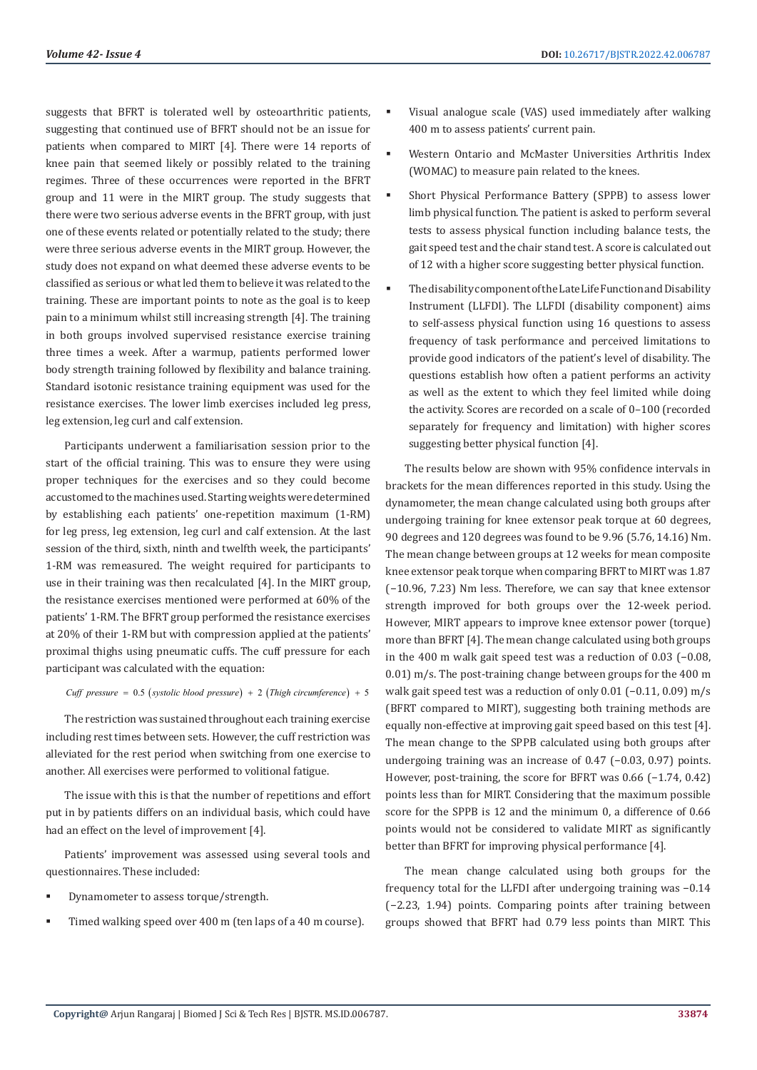suggests that BFRT is tolerated well by osteoarthritic patients, suggesting that continued use of BFRT should not be an issue for patients when compared to MIRT [4]. There were 14 reports of knee pain that seemed likely or possibly related to the training regimes. Three of these occurrences were reported in the BFRT group and 11 were in the MIRT group. The study suggests that there were two serious adverse events in the BFRT group, with just one of these events related or potentially related to the study; there were three serious adverse events in the MIRT group. However, the study does not expand on what deemed these adverse events to be classified as serious or what led them to believe it was related to the training. These are important points to note as the goal is to keep pain to a minimum whilst still increasing strength [4]. The training in both groups involved supervised resistance exercise training three times a week. After a warmup, patients performed lower body strength training followed by flexibility and balance training. Standard isotonic resistance training equipment was used for the resistance exercises. The lower limb exercises included leg press, leg extension, leg curl and calf extension.

Participants underwent a familiarisation session prior to the start of the official training. This was to ensure they were using proper techniques for the exercises and so they could become accustomed to the machines used. Starting weights were determined by establishing each patients' one-repetition maximum (1-RM) for leg press, leg extension, leg curl and calf extension. At the last session of the third, sixth, ninth and twelfth week, the participants' 1-RM was remeasured. The weight required for participants to use in their training was then recalculated [4]. In the MIRT group, the resistance exercises mentioned were performed at 60% of the patients' 1-RM. The BFRT group performed the resistance exercises at 20% of their 1-RM but with compression applied at the patients' proximal thighs using pneumatic cuffs. The cuff pressure for each participant was calculated with the equation:

*Cuff pressure systolic blood pressure Thigh ci* 0.5 2 = ++ ( ) ( *rcumference*) 5

The restriction was sustained throughout each training exercise including rest times between sets. However, the cuff restriction was alleviated for the rest period when switching from one exercise to another. All exercises were performed to volitional fatigue.

The issue with this is that the number of repetitions and effort put in by patients differs on an individual basis, which could have had an effect on the level of improvement [4].

Patients' improvement was assessed using several tools and questionnaires. These included:

- Dynamometer to assess torque/strength.
- Timed walking speed over 400 m (ten laps of a 40 m course).
- Visual analogue scale (VAS) used immediately after walking 400 m to assess patients' current pain.
- Western Ontario and McMaster Universities Arthritis Index (WOMAC) to measure pain related to the knees.
- Short Physical Performance Battery (SPPB) to assess lower limb physical function. The patient is asked to perform several tests to assess physical function including balance tests, the gait speed test and the chair stand test. A score is calculated out of 12 with a higher score suggesting better physical function.
- The disability component of the Late Life Function and Disability Instrument (LLFDI). The LLFDI (disability component) aims to self-assess physical function using 16 questions to assess frequency of task performance and perceived limitations to provide good indicators of the patient's level of disability. The questions establish how often a patient performs an activity as well as the extent to which they feel limited while doing the activity. Scores are recorded on a scale of 0–100 (recorded separately for frequency and limitation) with higher scores suggesting better physical function [4].

The results below are shown with 95% confidence intervals in brackets for the mean differences reported in this study. Using the dynamometer, the mean change calculated using both groups after undergoing training for knee extensor peak torque at 60 degrees, 90 degrees and 120 degrees was found to be 9.96 (5.76, 14.16) Nm. The mean change between groups at 12 weeks for mean composite knee extensor peak torque when comparing BFRT to MIRT was 1.87 (−10.96, 7.23) Nm less. Therefore, we can say that knee extensor strength improved for both groups over the 12-week period. However, MIRT appears to improve knee extensor power (torque) more than BFRT [4]. The mean change calculated using both groups in the 400 m walk gait speed test was a reduction of 0.03 (−0.08, 0.01) m/s. The post-training change between groups for the 400 m walk gait speed test was a reduction of only 0.01 (−0.11, 0.09) m/s (BFRT compared to MIRT), suggesting both training methods are equally non-effective at improving gait speed based on this test [4]. The mean change to the SPPB calculated using both groups after undergoing training was an increase of 0.47 (−0.03, 0.97) points. However, post-training, the score for BFRT was 0.66 (−1.74, 0.42) points less than for MIRT. Considering that the maximum possible score for the SPPB is 12 and the minimum 0, a difference of 0.66 points would not be considered to validate MIRT as significantly better than BFRT for improving physical performance [4].

The mean change calculated using both groups for the frequency total for the LLFDI after undergoing training was −0.14 (−2.23, 1.94) points. Comparing points after training between groups showed that BFRT had 0.79 less points than MIRT. This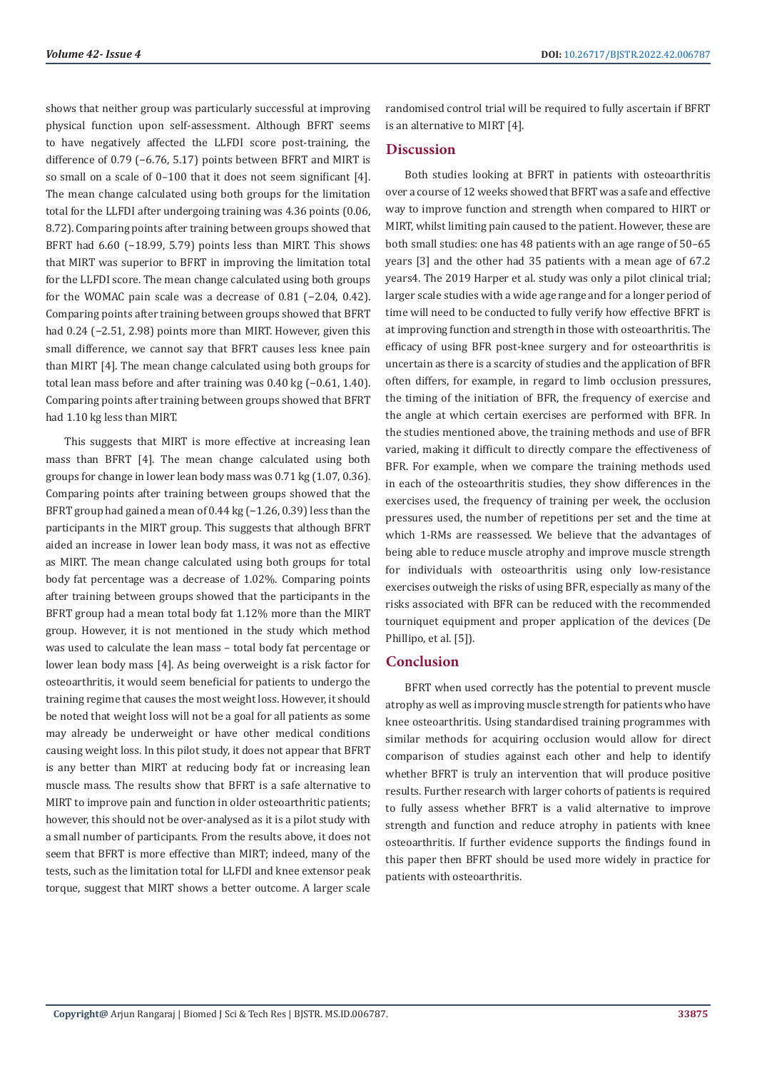shows that neither group was particularly successful at improving physical function upon self-assessment. Although BFRT seems to have negatively affected the LLFDI score post-training, the difference of 0.79 (−6.76, 5.17) points between BFRT and MIRT is so small on a scale of 0–100 that it does not seem significant [4]. The mean change calculated using both groups for the limitation total for the LLFDI after undergoing training was 4.36 points (0.06, 8.72). Comparing points after training between groups showed that BFRT had 6.60 (−18.99, 5.79) points less than MIRT. This shows that MIRT was superior to BFRT in improving the limitation total for the LLFDI score. The mean change calculated using both groups for the WOMAC pain scale was a decrease of 0.81 (−2.04, 0.42). Comparing points after training between groups showed that BFRT had 0.24 (−2.51, 2.98) points more than MIRT. However, given this small difference, we cannot say that BFRT causes less knee pain than MIRT [4]. The mean change calculated using both groups for total lean mass before and after training was 0.40 kg (−0.61, 1.40). Comparing points after training between groups showed that BFRT had 1.10 kg less than MIRT.

This suggests that MIRT is more effective at increasing lean mass than BFRT [4]. The mean change calculated using both groups for change in lower lean body mass was 0.71 kg (1.07, 0.36). Comparing points after training between groups showed that the BFRT group had gained a mean of 0.44 kg (−1.26, 0.39) less than the participants in the MIRT group. This suggests that although BFRT aided an increase in lower lean body mass, it was not as effective as MIRT. The mean change calculated using both groups for total body fat percentage was a decrease of 1.02%. Comparing points after training between groups showed that the participants in the BFRT group had a mean total body fat 1.12% more than the MIRT group. However, it is not mentioned in the study which method was used to calculate the lean mass – total body fat percentage or lower lean body mass [4]. As being overweight is a risk factor for osteoarthritis, it would seem beneficial for patients to undergo the training regime that causes the most weight loss. However, it should be noted that weight loss will not be a goal for all patients as some may already be underweight or have other medical conditions causing weight loss. In this pilot study, it does not appear that BFRT is any better than MIRT at reducing body fat or increasing lean muscle mass. The results show that BFRT is a safe alternative to MIRT to improve pain and function in older osteoarthritic patients; however, this should not be over-analysed as it is a pilot study with a small number of participants. From the results above, it does not seem that BFRT is more effective than MIRT; indeed, many of the tests, such as the limitation total for LLFDI and knee extensor peak torque, suggest that MIRT shows a better outcome. A larger scale

randomised control trial will be required to fully ascertain if BFRT is an alternative to MIRT [4].

# **Discussion**

Both studies looking at BFRT in patients with osteoarthritis over a course of 12 weeks showed that BFRT was a safe and effective way to improve function and strength when compared to HIRT or MIRT, whilst limiting pain caused to the patient. However, these are both small studies: one has 48 patients with an age range of 50–65 years [3] and the other had 35 patients with a mean age of 67.2 years4. The 2019 Harper et al. study was only a pilot clinical trial; larger scale studies with a wide age range and for a longer period of time will need to be conducted to fully verify how effective BFRT is at improving function and strength in those with osteoarthritis. The efficacy of using BFR post-knee surgery and for osteoarthritis is uncertain as there is a scarcity of studies and the application of BFR often differs, for example, in regard to limb occlusion pressures, the timing of the initiation of BFR, the frequency of exercise and the angle at which certain exercises are performed with BFR. In the studies mentioned above, the training methods and use of BFR varied, making it difficult to directly compare the effectiveness of BFR. For example, when we compare the training methods used in each of the osteoarthritis studies, they show differences in the exercises used, the frequency of training per week, the occlusion pressures used, the number of repetitions per set and the time at which 1-RMs are reassessed. We believe that the advantages of being able to reduce muscle atrophy and improve muscle strength for individuals with osteoarthritis using only low-resistance exercises outweigh the risks of using BFR, especially as many of the risks associated with BFR can be reduced with the recommended tourniquet equipment and proper application of the devices (De Phillipo, et al. [5]).

# **Conclusion**

BFRT when used correctly has the potential to prevent muscle atrophy as well as improving muscle strength for patients who have knee osteoarthritis. Using standardised training programmes with similar methods for acquiring occlusion would allow for direct comparison of studies against each other and help to identify whether BFRT is truly an intervention that will produce positive results. Further research with larger cohorts of patients is required to fully assess whether BFRT is a valid alternative to improve strength and function and reduce atrophy in patients with knee osteoarthritis. If further evidence supports the findings found in this paper then BFRT should be used more widely in practice for patients with osteoarthritis.